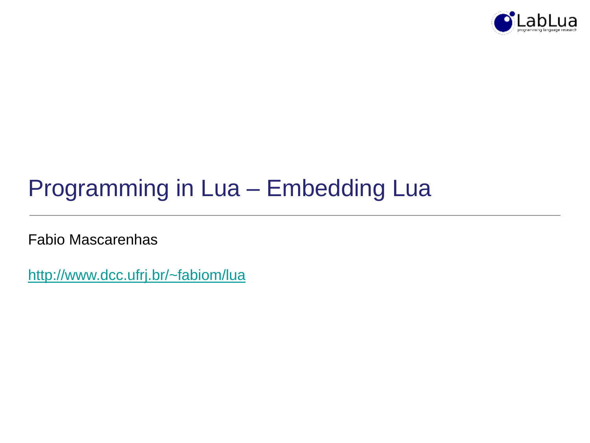

# Programming in Lua – Embedding Lua

Fabio Mascarenhas

<http://www.dcc.ufrj.br/~fabiom/lua>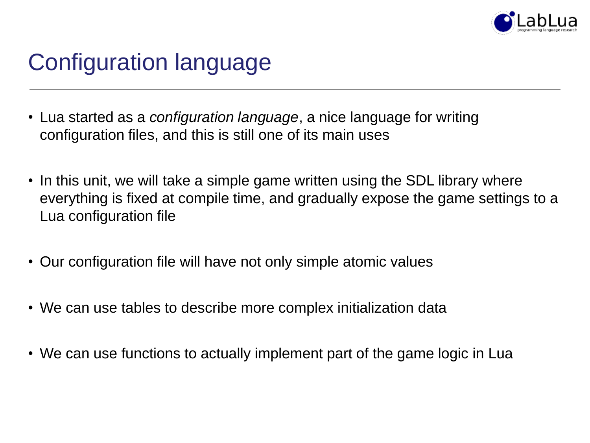

# Configuration language

- Lua started as a *configuration language*, a nice language for writing configuration files, and this is still one of its main uses
- In this unit, we will take a simple game written using the SDL library where everything is fixed at compile time, and gradually expose the game settings to a Lua configuration file
- Our configuration file will have not only simple atomic values
- We can use tables to describe more complex initialization data
- We can use functions to actually implement part of the game logic in Lua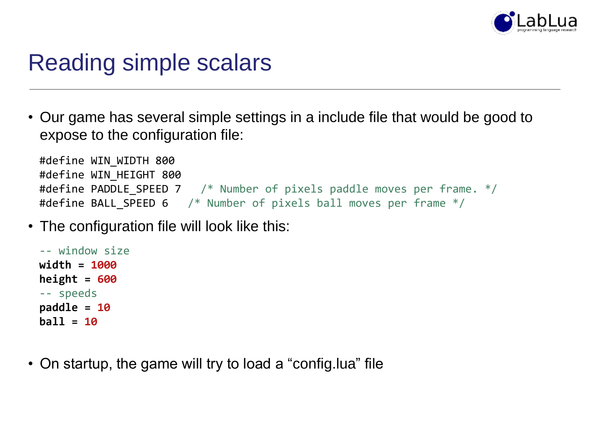

#### Reading simple scalars

• Our game has several simple settings in a include file that would be good to expose to the configuration file:

```
#define WIN_WIDTH 800
#define WIN_HEIGHT 800
#define PADDLE SPEED 7 \quad /* Number of pixels paddle moves per frame. */#define BALL SPEED 6 /* Number of pixels ball moves per frame */
```
• The configuration file will look like this:

```
-- window size
width = 1000
height = 600
-- speeds
paddle = 10
ball = 10
```
• On startup, the game will try to load a "config.lua" file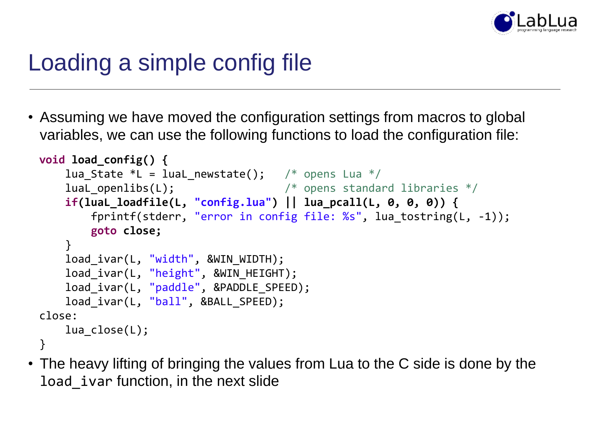

## Loading a simple config file

• Assuming we have moved the configuration settings from macros to global variables, we can use the following functions to load the configuration file:

```
void load_config() {
    lua State *L = luaL newstate(); /* opens Lua */
    luaL openlibs(L); / \rightarrow \rightarrow opens standard libraries */if(luaL_loadfile(L, "config.lua") || lua_pcall(L, 0, 0, 0)) {
        fprintf(stderr, "error in config file: %s", lua_tostring(L, -1));
        goto close;
    }
    load_ivar(L, "width", &WIN_WIDTH);
    load ivar(L, "height", &WIN HEIGHT);
    load_ivar(L, "paddle", &PADDLE_SPEED);
    load_ivar(L, "ball", &BALL_SPEED);
close:
    lua_close(L);
}
```
• The heavy lifting of bringing the values from Lua to the C side is done by the load\_ivar function, in the next slide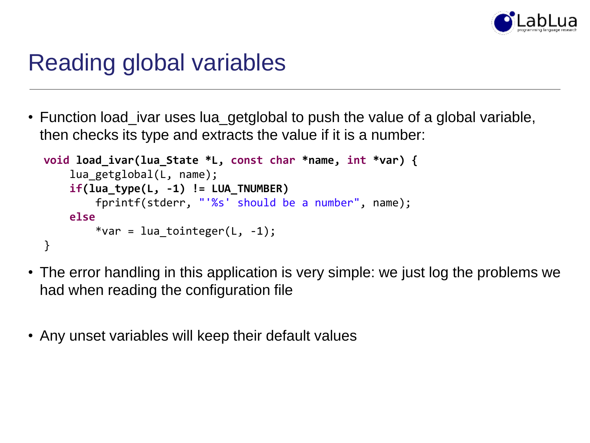

#### Reading global variables

• Function load\_ivar uses lua\_getglobal to push the value of a global variable, then checks its type and extracts the value if it is a number:

```
void load_ivar(lua_State *L, const char *name, int *var) {
    lua getglobal(L, name);
    if(lua_type(L, -1) != LUA_TNUMBER)
        fprintf(stderr, "'%s' should be a number", name);
    else
        *var = lua tointeger(L, -1);
}
```
- The error handling in this application is very simple: we just log the problems we had when reading the configuration file
- Any unset variables will keep their default values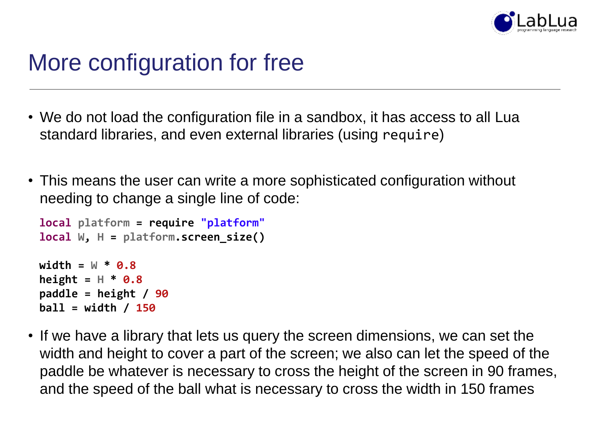

#### More configuration for free

- We do not load the configuration file in a sandbox, it has access to all Lua standard libraries, and even external libraries (using require)
- This means the user can write a more sophisticated configuration without needing to change a single line of code:

```
local platform = require "platform"
local W, H = platform.screen_size()
width = W * 0.8
height = H * 0.8paddle = height / 90
ball = width / 150
```
• If we have a library that lets us query the screen dimensions, we can set the width and height to cover a part of the screen; we also can let the speed of the paddle be whatever is necessary to cross the height of the screen in 90 frames, and the speed of the ball what is necessary to cross the width in 150 frames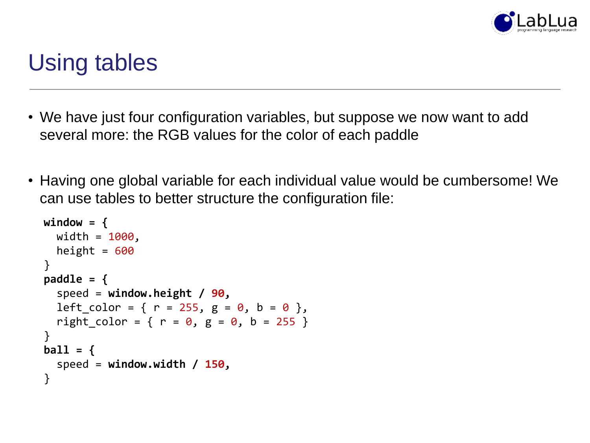

## Using tables

- We have just four configuration variables, but suppose we now want to add several more: the RGB values for the color of each paddle
- Having one global variable for each individual value would be cumbersome! We can use tables to better structure the configuration file:

```
window = {
 width = 1000,
  height = 600}
paddle = {
  speed = window.height / 90,
  left_color = { r = 255, g = 0, b = 0 },
  right_color = { r = 0, g = 0, b = 255 }
}
ball = {
  speed = window.width / 150,
}
```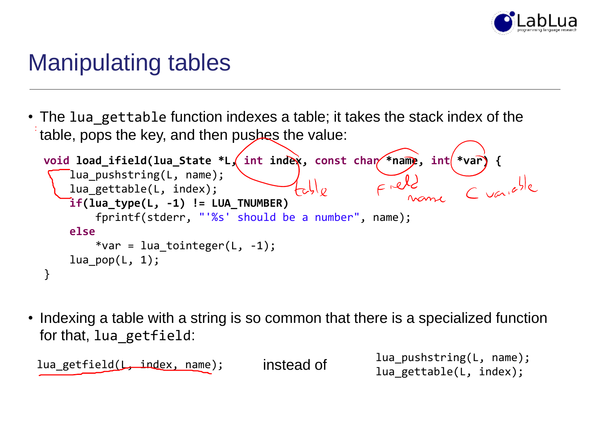

### Manipulating tables

• The lua gettable function indexes a table; it takes the stack index of the table, pops the key, and then pushes the value:

```
void load_ifield(lua_State *L, int index, const char *name, int *var) {<br>lua_pushstring(L, name);<br>if(lua_type(l, index);<br>if(lua_type(l, index);<br>if(lua_type(l, index);
     lua pushstring(L, name);
                                                       L_{c}lua_gettable(L, index);
     if(lua type(L, -1) != LUA TNUMBER)fprintf(stderr, "'%s' should be a number", name);
     else
           *var = lua tointeger(L, -1);
     lua pop(L, 1);}
```
• Indexing a table with a string is so common that there is a specialized function for that, lua\_getfield:

lua\_getfield(L, index, name); dimits instead of the lua\_pushstring(L, name); lua gettable(L, index);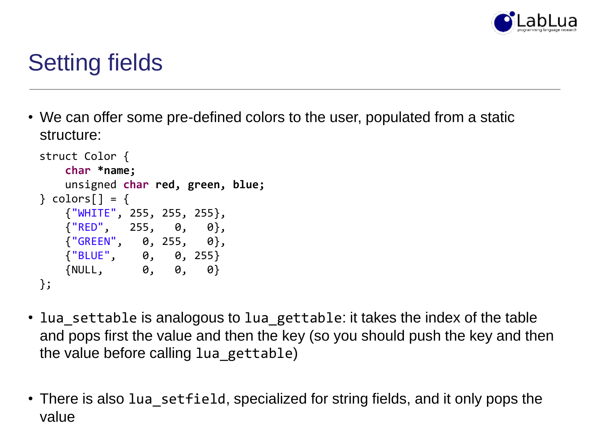

## Setting fields

• We can offer some pre-defined colors to the user, populated from a static structure:

```
struct Color {
   char *name;
   unsigned char red, green, blue;
\} colors[] = {
   {"WHITE", 255, 255, 255},
   \{ "RED", 255, 0, 0 \},{"GREEN", 0, 255, 0},
   {"BLUE", 0, 0, 255}
   {NULL, 0, 0, 0}
};
```
- lua\_settable is analogous to lua\_gettable: it takes the index of the table and pops first the value and then the key (so you should push the key and then the value before calling lua\_gettable)
- There is also lua setfield, specialized for string fields, and it only pops the value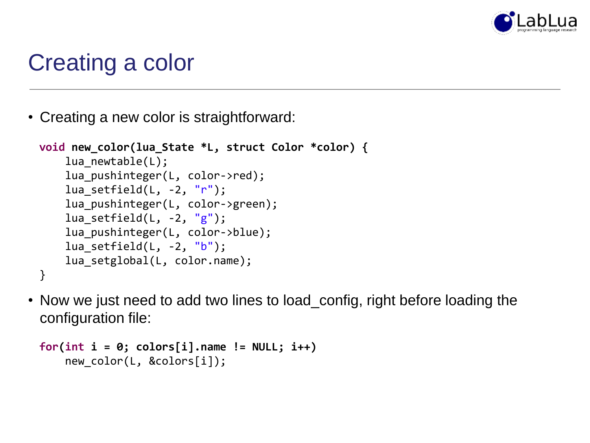

## Creating a color

• Creating a new color is straightforward:

```
void new_color(lua_State *L, struct Color *color) {
    lua newtable(L);
    lua pushinteger(L, color->red);
    lua setfield(L, -2, "r");
    lua pushinteger(L, color->green);
    lua_setfield(L, -2, "g");
    lua pushinteger(L, color->blue);
    lua setfield(L, -2, "b");
    lua setglobal(L, color.name);
}
```
• Now we just need to add two lines to load\_config, right before loading the configuration file:

```
for(int i = 0; colors[i].name != NULL; i++)
    new color(L, &colors[i]);
```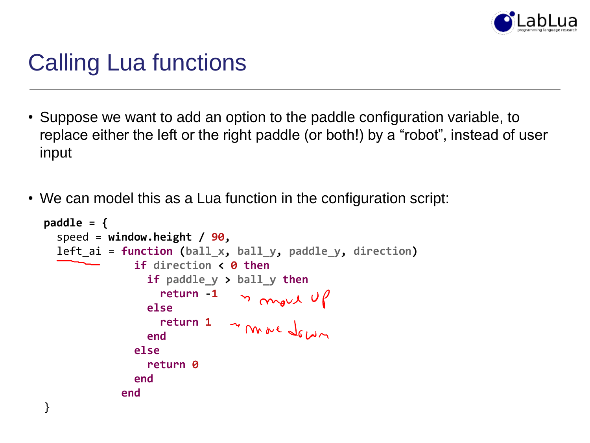

## Calling Lua functions

- Suppose we want to add an option to the paddle configuration variable, to replace either the left or the right paddle (or both!) by a "robot", instead of user input
- We can model this as a Lua function in the configuration script:

```
paddle = {
  speed = window.height / 90,
  left_ai = function (ball_x, ball_y, paddle_y, direction)
              if direction < 0 then
                if paddle_y > ball_y then
                   return -1
                else
                   return 1
                end
              else
                return 0
              end
            end
}
```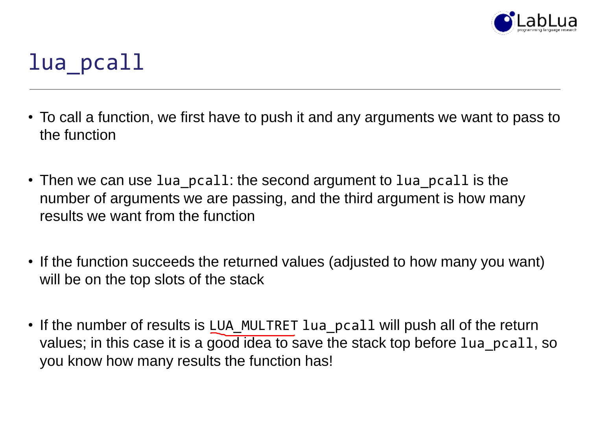

### lua\_pcall

- To call a function, we first have to push it and any arguments we want to pass to the function
- Then we can use lua\_pcall: the second argument to lua\_pcall is the number of arguments we are passing, and the third argument is how many results we want from the function
- If the function succeeds the returned values (adjusted to how many you want) will be on the top slots of the stack
- If the number of results is LUA\_MULTRET lua\_pcall will push all of the return values; in this case it is a good idea to save the stack top before lua pcall, so you know how many results the function has!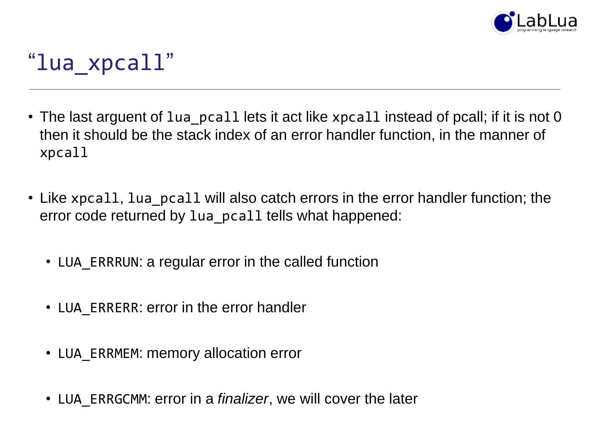

## "lua\_xpcall"

- The last arguent of lua\_pcall lets it act like xpcall instead of pcall; if it is not 0 then it should be the stack index of an error handler function, in the manner of xpcall
- Like xpcall, lua\_pcall will also catch errors in the error handler function; the error code returned by lua\_pcall tells what happened:
	- LUA ERRRUN: a regular error in the called function
	- LUA ERRERR: error in the error handler
	- LUA\_ERRMEM: memory allocation error
	- LUA\_ERRGCMM: error in a *finalizer*, we will cover the later